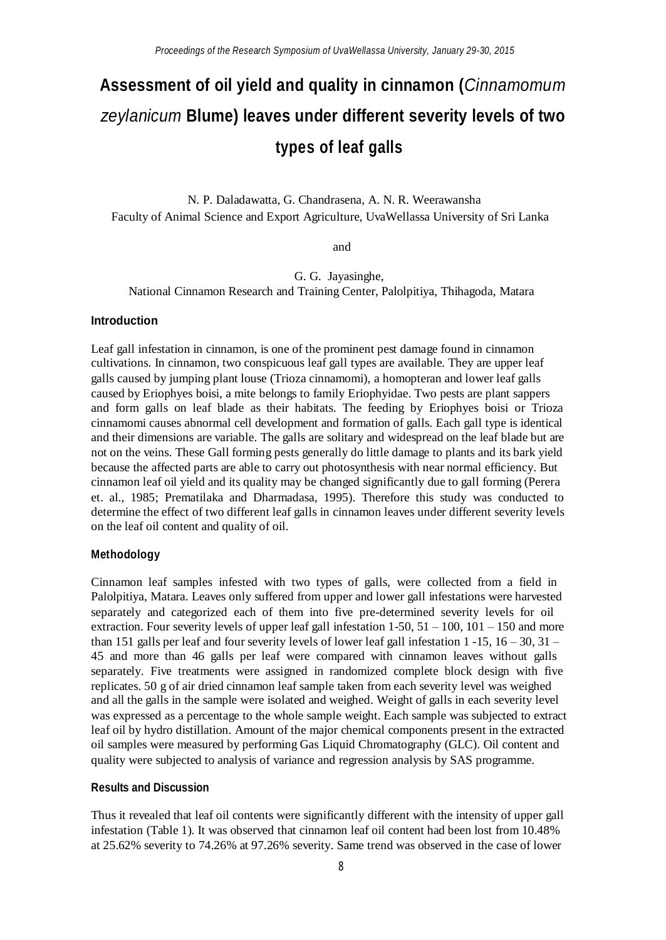# **Assessment of oil yield and quality in cinnamon (***Cinnamomum zeylanicum* **Blume) leaves under different severity levels of two types of leaf galls**

N. P. Daladawatta, G. Chandrasena, A. N. R. Weerawansha Faculty of Animal Science and Export Agriculture, UvaWellassa University of Sri Lanka

and

G. G. Jayasinghe, National Cinnamon Research and Training Center, Palolpitiya, Thihagoda, Matara

## **Introduction**

Leaf gall infestation in cinnamon, is one of the prominent pest damage found in cinnamon cultivations. In cinnamon, two conspicuous leaf gall types are available. They are upper leaf galls caused by jumping plant louse (Trioza cinnamomi), a homopteran and lower leaf galls caused by Eriophyes boisi, a mite belongs to family Eriophyidae. Two pests are plant sappers and form galls on leaf blade as their habitats. The feeding by Eriophyes boisi or Trioza cinnamomi causes abnormal cell development and formation of galls. Each gall type is identical and their dimensions are variable. The galls are solitary and widespread on the leaf blade but are not on the veins. These Gall forming pests generally do little damage to plants and its bark yield because the affected parts are able to carry out photosynthesis with near normal efficiency. But cinnamon leaf oil yield and its quality may be changed significantly due to gall forming (Perera et. al., 1985; Prematilaka and Dharmadasa, 1995). Therefore this study was conducted to determine the effect of two different leaf galls in cinnamon leaves under different severity levels on the leaf oil content and quality of oil.

#### **Methodology**

Cinnamon leaf samples infested with two types of galls, were collected from a field in Palolpitiya, Matara. Leaves only suffered from upper and lower gall infestations were harvested separately and categorized each of them into five pre-determined severity levels for oil extraction. Four severity levels of upper leaf gall infestation  $1-50$ ,  $51-100$ ,  $101-150$  and more than 151 galls per leaf and four severity levels of lower leaf gall infestation  $1 - 15$ ,  $16 - 30$ ,  $31 -$ 45 and more than 46 galls per leaf were compared with cinnamon leaves without galls separately. Five treatments were assigned in randomized complete block design with five replicates. 50 g of air dried cinnamon leaf sample taken from each severity level was weighed and all the galls in the sample were isolated and weighed. Weight of galls in each severity level was expressed as a percentage to the whole sample weight. Each sample was subjected to extract leaf oil by hydro distillation. Amount of the major chemical components present in the extracted oil samples were measured by performing Gas Liquid Chromatography (GLC). Oil content and quality were subjected to analysis of variance and regression analysis by SAS programme.

# **Results and Discussion**

Thus it revealed that leaf oil contents were significantly different with the intensity of upper gall infestation (Table 1). It was observed that cinnamon leaf oil content had been lost from 10.48% at 25.62% severity to 74.26% at 97.26% severity. Same trend was observed in the case of lower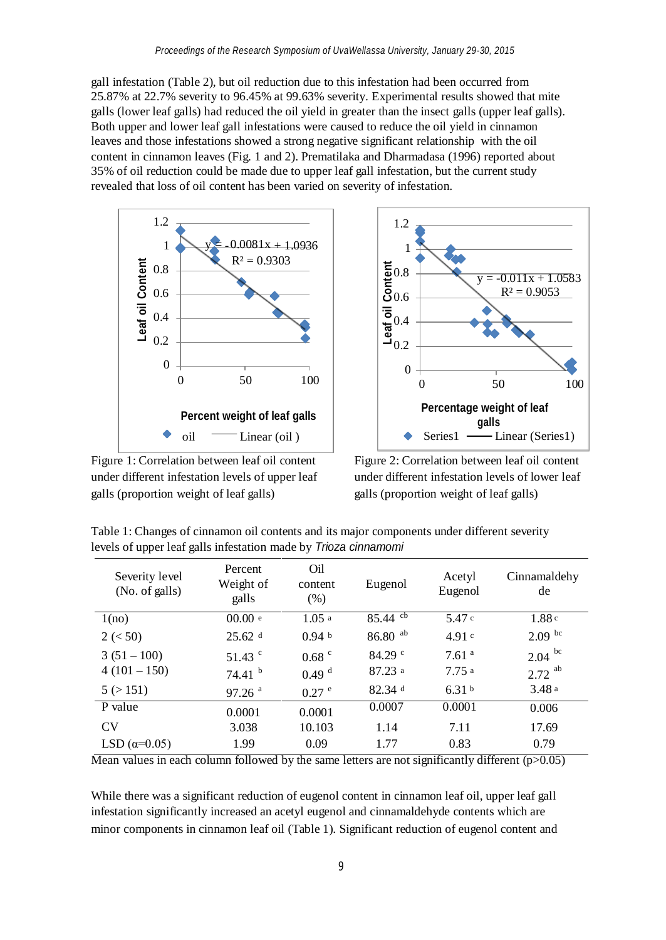gall infestation (Table 2), but oil reduction due to this infestation had been occurred from 25.87% at 22.7% severity to 96.45% at 99.63% severity. Experimental results showed that mite galls (lower leaf galls) had reduced the oil yield in greater than the insect galls (upper leaf galls). Both upper and lower leaf gall infestations were caused to reduce the oil yield in cinnamon leaves and those infestations showed a strong negative significant relationship with the oil content in cinnamon leaves (Fig. 1 and 2). Prematilaka and Dharmadasa (1996) reported about 35% of oil reduction could be made due to upper leaf gall infestation, but the current study revealed that loss of oil content has been varied on severity of infestation.





Figure 1: Correlation between leaf oil content under different infestation levels of upper leaf galls (proportion weight of leaf galls)

Figure 2: Correlation between leaf oil content under different infestation levels of lower leaf galls (proportion weight of leaf galls)

| Severity level<br>(No. of galls) | Percent<br>Weight of<br>galls | Oil<br>content<br>$(\%)$ | Eugenol          | Acetyl<br>Eugenol | Cinnamaldehy<br>de |
|----------------------------------|-------------------------------|--------------------------|------------------|-------------------|--------------------|
| 1(no)                            | 00.00 e                       | 1.05a                    | $85.44~{\rm cb}$ | 5.47 c            | 1.88c              |
| 2 (< 50)                         | $25.62$ d                     | 0.94 <sub>b</sub>        | $86.80$ ab       | 4.91c             | 2.09 <sup>bc</sup> |
| $3(51-100)$                      | $51.43$ $\degree$             | $0.68$ $\degree$         | 84.29 $\degree$  | 7.61 <sup>a</sup> | $2.04$ bc          |
| $4(101-150)$                     | 74.41 <sup>b</sup>            | 0.49 <sup>d</sup>        | 87.23a           | 7.75 a            | ab<br>2.72         |
| 5(>151)                          | $97.26$ <sup>a</sup>          | $0.27$ $^{\circ}$        | 82.34 d          | 6.31 <sup>b</sup> | 3.48 a             |
| P value                          | 0.0001                        | 0.0001                   | 0.0007           | 0.0001            | 0.006              |
| <b>CV</b>                        | 3.038                         | 10.103                   | 1.14             | 7.11              | 17.69              |
| LSD $(\alpha=0.05)$              | 1.99                          | 0.09                     | 1.77             | 0.83              | 0.79               |

Table 1: Changes of cinnamon oil contents and its major components under different severity levels of upper leaf galls infestation made by *Trioza cinnamomi*

Mean values in each column followed by the same letters are not significantly different  $(p>0.05)$ 

While there was a significant reduction of eugenol content in cinnamon leaf oil, upper leaf gall infestation significantly increased an acetyl eugenol and cinnamaldehyde contents which are minor components in cinnamon leaf oil (Table 1). Significant reduction of eugenol content and